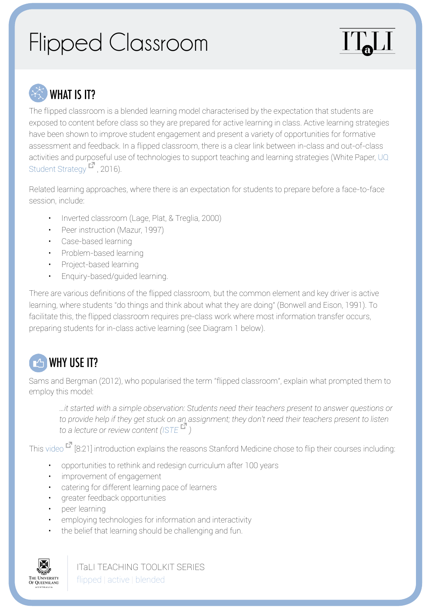## Flipped Classroom





The flipped classroom is a blended learning model characterised by the expectation that students are exposed to content before class so they are prepared for active learning in class. Active learning strategies have been shown to improve student engagement and present a variety of opportunities for formative assessment and feedback. In a flipped classroom, there is a clear link between in-class and out-of-class activities and purposeful use of technologies to support teaching and learning strategies (White Paper, [UQ](https://student-strategy.uq.edu.au/)  [Student Strategy](https://student-strategy.uq.edu.au/)<sup>1</sup>, 2016).

Related learning approaches, where there is an expectation for students to prepare before a face-to-face session, include:

- Inverted classroom (Lage, Plat, & Treglia, 2000)
- Peer instruction (Mazur, 1997)
- Case-based learning
- Problem-based learning
- Project-based learning
- Enquiry-based/guided learning.

There are various definitions of the flipped classroom, but the common element and key driver is active learning, where students "do things and think about what they are doing" (Bonwell and Eison, 1991). To facilitate this, the flipped classroom requires pre-class work where most information transfer occurs, preparing students for in-class active learning (see Diagram 1 below).

## **THE WHY USE IT?**

Sams and Bergman (2012), who popularised the term "flipped classroom", explain what prompted them to employ this model:

*…it started with a simple observation: Students need their teachers present to answer questions or to provide help if they get stuck on an assignment; they don't need their teachers present to listen to a lecture or review content [\(ISTE](https://www.iste.org/resources/product?ID=2285) )*

This [video](http://med.stanford.edu/smili/) <sup>[8]</sup> [8:21] introduction explains the reasons Stanford Medicine chose to flip their courses including:

- opportunities to rethink and redesign curriculum after 100 years
- improvement of engagement
- catering for different learning pace of learners
- greater feedback opportunities
- peer learning
- employing technologies for information and interactivity
- the belief that learning should be challenging and fun.



ITaLI TEACHING TOOLKIT SERIES flipped | active | blended